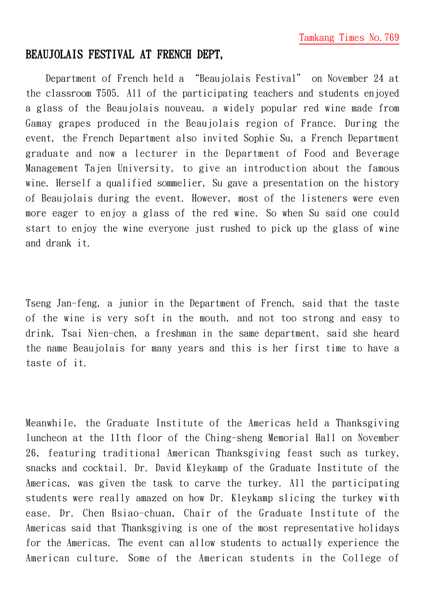## BEAUJOLAIS FESTIVAL AT FRENCH DEPT,

Department of French held a "Beaujolais Festival" on November 24 at the classroom T505. All of the participating teachers and students enjoyed a glass of the Beaujolais nouveau, a widely popular red wine made from Gamay grapes produced in the Beaujolais region of France. During the event, the French Department also invited Sophie Su, a French Department graduate and now a lecturer in the Department of Food and Beverage Management Tajen University, to give an introduction about the famous wine. Herself a qualified sommelier, Su gave a presentation on the history of Beaujolais during the event. However, most of the listeners were even more eager to enjoy a glass of the red wine. So when Su said one could start to enjoy the wine everyone just rushed to pick up the glass of wine and drank it.

Tseng Jan-feng, a junior in the Department of French, said that the taste of the wine is very soft in the mouth, and not too strong and easy to drink. Tsai Nien-chen, a freshman in the same department, said she heard the name Beaujolais for many years and this is her first time to have a taste of it.

Meanwhile, the Graduate Institute of the Americas held a Thanksgiving luncheon at the 11th floor of the Ching-sheng Memorial Hall on November 26, featuring traditional American Thanksgiving feast such as turkey, snacks and cocktail. Dr. David Kleykamp of the Graduate Institute of the Americas, was given the task to carve the turkey. All the participating students were really amazed on how Dr. Kleykamp slicing the turkey with ease. Dr. Chen Hsiao-chuan, Chair of the Graduate Institute of the Americas said that Thanksgiving is one of the most representative holidays for the Americas. The event can allow students to actually experience the American culture. Some of the American students in the College of